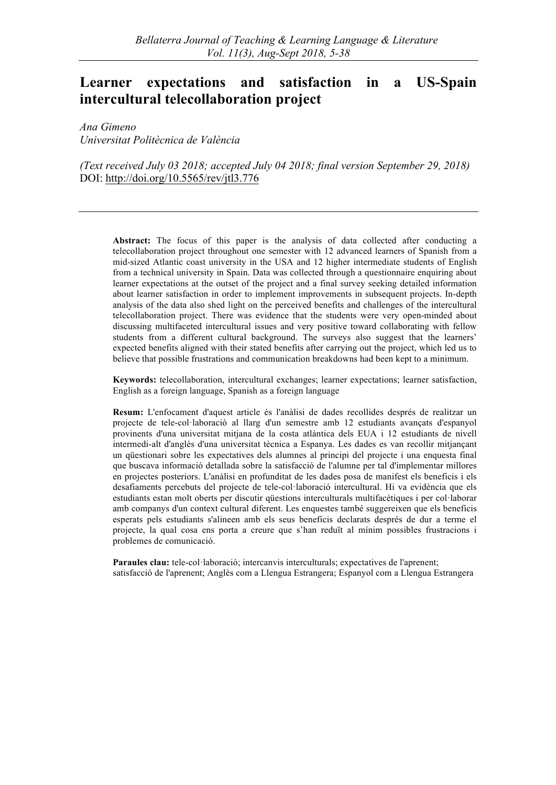# **Learner expectations and satisfaction in a US-Spain intercultural telecollaboration project**

*Ana Gimeno Universitat Politècnica de València*

*(Text received July 03 2018; accepted July 04 2018; final version September 29, 2018)* DOI: http://doi.org/10.5565/rev/jtl3.776

**Abstract:** The focus of this paper is the analysis of data collected after conducting a telecollaboration project throughout one semester with 12 advanced learners of Spanish from a mid-sized Atlantic coast university in the USA and 12 higher intermediate students of English from a technical university in Spain. Data was collected through a questionnaire enquiring about learner expectations at the outset of the project and a final survey seeking detailed information about learner satisfaction in order to implement improvements in subsequent projects. In-depth analysis of the data also shed light on the perceived benefits and challenges of the intercultural telecollaboration project. There was evidence that the students were very open-minded about discussing multifaceted intercultural issues and very positive toward collaborating with fellow students from a different cultural background. The surveys also suggest that the learners' expected benefits aligned with their stated benefits after carrying out the project, which led us to believe that possible frustrations and communication breakdowns had been kept to a minimum.

**Keywords:** telecollaboration, intercultural exchanges; learner expectations; learner satisfaction, English as a foreign language, Spanish as a foreign language

**Resum:** L'enfocament d'aquest article és l'anàlisi de dades recollides després de realitzar un projecte de tele-col·laboració al llarg d'un semestre amb 12 estudiants avançats d'espanyol provinents d'una universitat mitjana de la costa atlàntica dels EUA i 12 estudiants de nivell intermedi-alt d'anglès d'una universitat tècnica a Espanya. Les dades es van recollir mitjançant un qüestionari sobre les expectatives dels alumnes al principi del projecte i una enquesta final que buscava informació detallada sobre la satisfacció de l'alumne per tal d'implementar millores en projectes posteriors. L'anàlisi en profunditat de les dades posa de manifest els beneficis i els desafiaments percebuts del projecte de tele-col·laboració intercultural. Hi va evidència que els estudiants estan molt oberts per discutir qüestions interculturals multifacètiques i per col·laborar amb companys d'un context cultural diferent. Les enquestes també suggereixen que els beneficis esperats pels estudiants s'alineen amb els seus beneficis declarats després de dur a terme el projecte, la qual cosa ens porta a creure que s'han reduït al mínim possibles frustracions i problemes de comunicació.

Paraules clau: tele-col·laboració; intercanvis interculturals; expectatives de l'aprenent; satisfacció de l'aprenent; Anglès com a Llengua Estrangera; Espanyol com a Llengua Estrangera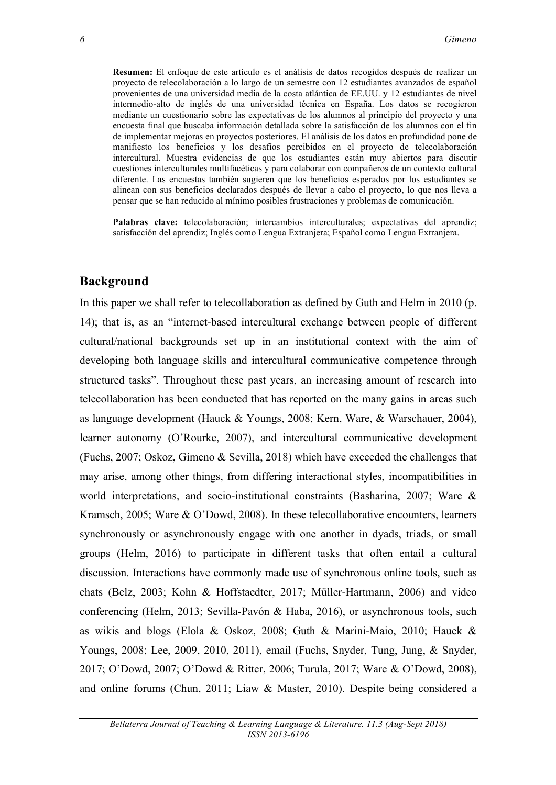**Resumen:** El enfoque de este artículo es el análisis de datos recogidos después de realizar un proyecto de telecolaboración a lo largo de un semestre con 12 estudiantes avanzados de español provenientes de una universidad media de la costa atlántica de EE.UU. y 12 estudiantes de nivel intermedio-alto de inglés de una universidad técnica en España. Los datos se recogieron mediante un cuestionario sobre las expectativas de los alumnos al principio del proyecto y una encuesta final que buscaba información detallada sobre la satisfacción de los alumnos con el fin de implementar mejoras en proyectos posteriores. El análisis de los datos en profundidad pone de manifiesto los beneficios y los desafíos percibidos en el proyecto de telecolaboración intercultural. Muestra evidencias de que los estudiantes están muy abiertos para discutir cuestiones interculturales multifacéticas y para colaborar con compañeros de un contexto cultural diferente. Las encuestas también sugieren que los beneficios esperados por los estudiantes se alinean con sus beneficios declarados después de llevar a cabo el proyecto, lo que nos lleva a pensar que se han reducido al mínimo posibles frustraciones y problemas de comunicación.

Palabras clave: telecolaboración; intercambios interculturales; expectativas del aprendiz; satisfacción del aprendiz; Inglés como Lengua Extranjera; Español como Lengua Extranjera.

#### **Background**

In this paper we shall refer to telecollaboration as defined by Guth and Helm in 2010 (p. 14); that is, as an "internet-based intercultural exchange between people of different cultural/national backgrounds set up in an institutional context with the aim of developing both language skills and intercultural communicative competence through structured tasks". Throughout these past years, an increasing amount of research into telecollaboration has been conducted that has reported on the many gains in areas such as language development (Hauck & Youngs, 2008; Kern, Ware, & Warschauer, 2004), learner autonomy (O'Rourke, 2007), and intercultural communicative development (Fuchs, 2007; Oskoz, Gimeno & Sevilla, 2018) which have exceeded the challenges that may arise, among other things, from differing interactional styles, incompatibilities in world interpretations, and socio-institutional constraints (Basharina, 2007; Ware & Kramsch, 2005; Ware & O'Dowd, 2008). In these telecollaborative encounters, learners synchronously or asynchronously engage with one another in dyads, triads, or small groups (Helm, 2016) to participate in different tasks that often entail a cultural discussion. Interactions have commonly made use of synchronous online tools, such as chats (Belz, 2003; Kohn & Hoffstaedter, 2017; Müller-Hartmann, 2006) and video conferencing (Helm, 2013; Sevilla-Pavón & Haba, 2016), or asynchronous tools, such as wikis and blogs (Elola & Oskoz, 2008; Guth & Marini-Maio, 2010; Hauck & Youngs, 2008; Lee, 2009, 2010, 2011), email (Fuchs, Snyder, Tung, Jung, & Snyder, 2017; O'Dowd, 2007; O'Dowd & Ritter, 2006; Turula, 2017; Ware & O'Dowd, 2008), and online forums (Chun, 2011; Liaw & Master, 2010). Despite being considered a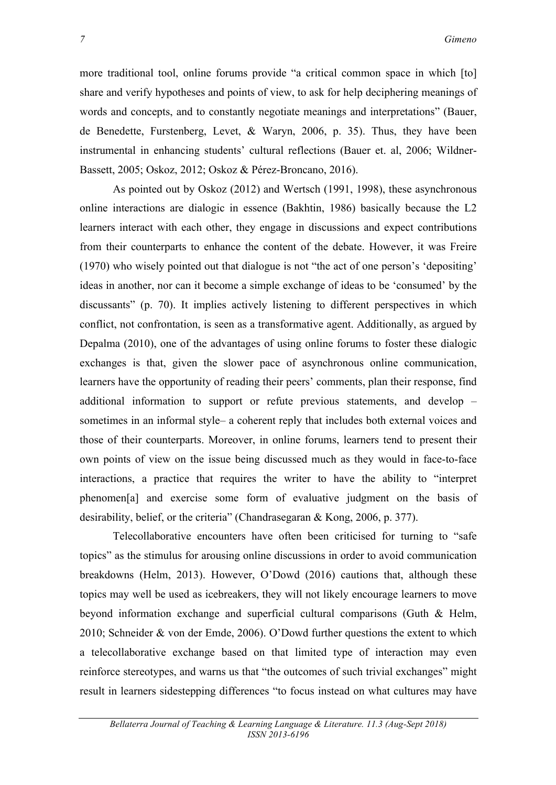more traditional tool, online forums provide "a critical common space in which [to] share and verify hypotheses and points of view, to ask for help deciphering meanings of words and concepts, and to constantly negotiate meanings and interpretations" (Bauer, de Benedette, Furstenberg, Levet, & Waryn, 2006, p. 35). Thus, they have been instrumental in enhancing students' cultural reflections (Bauer et. al, 2006; Wildner-Bassett, 2005; Oskoz, 2012; Oskoz & Pérez-Broncano, 2016).

As pointed out by Oskoz (2012) and Wertsch (1991, 1998), these asynchronous online interactions are dialogic in essence (Bakhtin, 1986) basically because the L2 learners interact with each other, they engage in discussions and expect contributions from their counterparts to enhance the content of the debate. However, it was Freire (1970) who wisely pointed out that dialogue is not "the act of one person's 'depositing' ideas in another, nor can it become a simple exchange of ideas to be 'consumed' by the discussants" (p. 70). It implies actively listening to different perspectives in which conflict, not confrontation, is seen as a transformative agent. Additionally, as argued by Depalma (2010), one of the advantages of using online forums to foster these dialogic exchanges is that, given the slower pace of asynchronous online communication, learners have the opportunity of reading their peers' comments, plan their response, find additional information to support or refute previous statements, and develop – sometimes in an informal style– a coherent reply that includes both external voices and those of their counterparts. Moreover, in online forums, learners tend to present their own points of view on the issue being discussed much as they would in face-to-face interactions, a practice that requires the writer to have the ability to "interpret phenomen[a] and exercise some form of evaluative judgment on the basis of desirability, belief, or the criteria" (Chandrasegaran & Kong, 2006, p. 377).

Telecollaborative encounters have often been criticised for turning to "safe topics" as the stimulus for arousing online discussions in order to avoid communication breakdowns (Helm, 2013). However, O'Dowd (2016) cautions that, although these topics may well be used as icebreakers, they will not likely encourage learners to move beyond information exchange and superficial cultural comparisons (Guth & Helm, 2010; Schneider & von der Emde, 2006). O'Dowd further questions the extent to which a telecollaborative exchange based on that limited type of interaction may even reinforce stereotypes, and warns us that "the outcomes of such trivial exchanges" might result in learners sidestepping differences "to focus instead on what cultures may have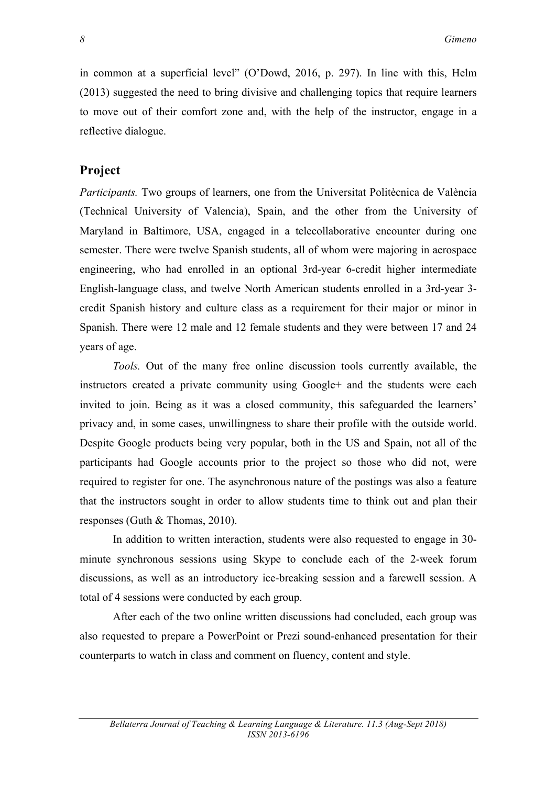in common at a superficial level" (O'Dowd, 2016, p. 297). In line with this, Helm (2013) suggested the need to bring divisive and challenging topics that require learners to move out of their comfort zone and, with the help of the instructor, engage in a reflective dialogue.

#### **Project**

*Participants.* Two groups of learners, one from the Universitat Politècnica de València (Technical University of Valencia), Spain, and the other from the University of Maryland in Baltimore, USA, engaged in a telecollaborative encounter during one semester. There were twelve Spanish students, all of whom were majoring in aerospace engineering, who had enrolled in an optional 3rd-year 6-credit higher intermediate English-language class, and twelve North American students enrolled in a 3rd-year 3 credit Spanish history and culture class as a requirement for their major or minor in Spanish. There were 12 male and 12 female students and they were between 17 and 24 years of age.

*Tools.* Out of the many free online discussion tools currently available, the instructors created a private community using Google+ and the students were each invited to join. Being as it was a closed community, this safeguarded the learners' privacy and, in some cases, unwillingness to share their profile with the outside world. Despite Google products being very popular, both in the US and Spain, not all of the participants had Google accounts prior to the project so those who did not, were required to register for one. The asynchronous nature of the postings was also a feature that the instructors sought in order to allow students time to think out and plan their responses (Guth & Thomas, 2010).

In addition to written interaction, students were also requested to engage in 30 minute synchronous sessions using Skype to conclude each of the 2-week forum discussions, as well as an introductory ice-breaking session and a farewell session. A total of 4 sessions were conducted by each group.

After each of the two online written discussions had concluded, each group was also requested to prepare a PowerPoint or Prezi sound-enhanced presentation for their counterparts to watch in class and comment on fluency, content and style.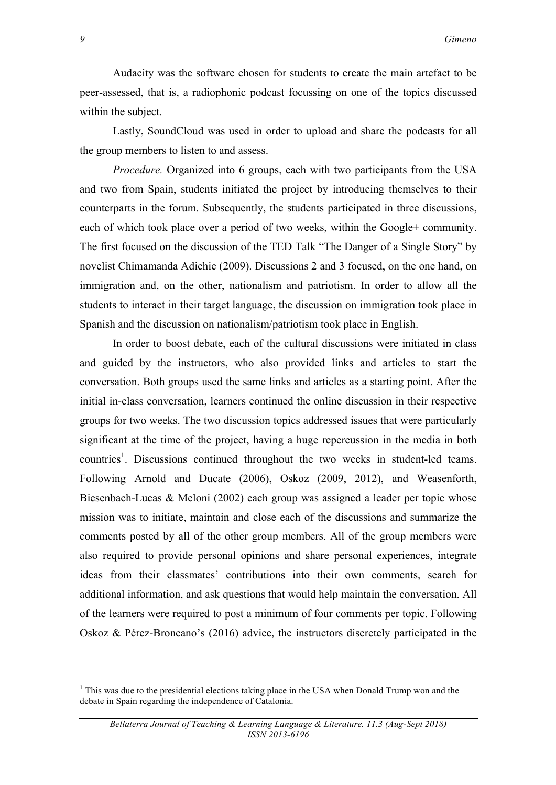Audacity was the software chosen for students to create the main artefact to be peer-assessed, that is, a radiophonic podcast focussing on one of the topics discussed within the subject.

Lastly, SoundCloud was used in order to upload and share the podcasts for all the group members to listen to and assess.

*Procedure.* Organized into 6 groups, each with two participants from the USA and two from Spain, students initiated the project by introducing themselves to their counterparts in the forum. Subsequently, the students participated in three discussions, each of which took place over a period of two weeks, within the Google+ community. The first focused on the discussion of the TED Talk "The Danger of a Single Story" by novelist Chimamanda Adichie (2009). Discussions 2 and 3 focused, on the one hand, on immigration and, on the other, nationalism and patriotism. In order to allow all the students to interact in their target language, the discussion on immigration took place in Spanish and the discussion on nationalism/patriotism took place in English.

In order to boost debate, each of the cultural discussions were initiated in class and guided by the instructors, who also provided links and articles to start the conversation. Both groups used the same links and articles as a starting point. After the initial in-class conversation, learners continued the online discussion in their respective groups for two weeks. The two discussion topics addressed issues that were particularly significant at the time of the project, having a huge repercussion in the media in both countries<sup>1</sup>. Discussions continued throughout the two weeks in student-led teams. Following Arnold and Ducate (2006), Oskoz (2009, 2012), and Weasenforth, Biesenbach-Lucas & Meloni (2002) each group was assigned a leader per topic whose mission was to initiate, maintain and close each of the discussions and summarize the comments posted by all of the other group members. All of the group members were also required to provide personal opinions and share personal experiences, integrate ideas from their classmates' contributions into their own comments, search for additional information, and ask questions that would help maintain the conversation. All of the learners were required to post a minimum of four comments per topic. Following Oskoz & Pérez-Broncano's (2016) advice, the instructors discretely participated in the

<u> Andreas Andreas Andreas Andreas Andreas Andreas Andreas Andreas Andreas Andreas Andreas Andreas Andreas Andreas</u>

 $<sup>1</sup>$  This was due to the presidential elections taking place in the USA when Donald Trump won and the</sup> debate in Spain regarding the independence of Catalonia.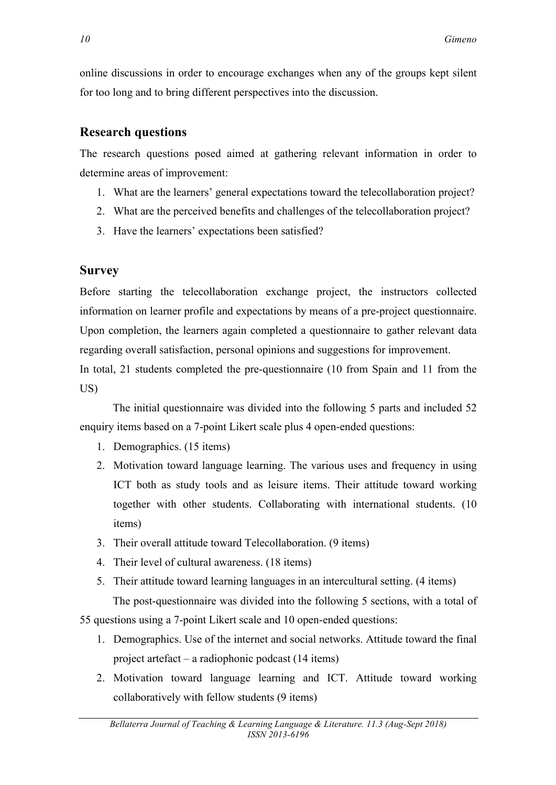online discussions in order to encourage exchanges when any of the groups kept silent for too long and to bring different perspectives into the discussion.

## **Research questions**

The research questions posed aimed at gathering relevant information in order to determine areas of improvement:

- 1. What are the learners' general expectations toward the telecollaboration project?
- 2. What are the perceived benefits and challenges of the telecollaboration project?
- 3. Have the learners' expectations been satisfied?

## **Survey**

Before starting the telecollaboration exchange project, the instructors collected information on learner profile and expectations by means of a pre-project questionnaire. Upon completion, the learners again completed a questionnaire to gather relevant data regarding overall satisfaction, personal opinions and suggestions for improvement.

In total, 21 students completed the pre-questionnaire (10 from Spain and 11 from the US)

The initial questionnaire was divided into the following 5 parts and included 52 enquiry items based on a 7-point Likert scale plus 4 open-ended questions:

- 1. Demographics. (15 items)
- 2. Motivation toward language learning. The various uses and frequency in using ICT both as study tools and as leisure items. Their attitude toward working together with other students. Collaborating with international students. (10 items)
- 3. Their overall attitude toward Telecollaboration. (9 items)
- 4. Their level of cultural awareness. (18 items)
- 5. Their attitude toward learning languages in an intercultural setting. (4 items)

The post-questionnaire was divided into the following 5 sections, with a total of 55 questions using a 7-point Likert scale and 10 open-ended questions:

- 1. Demographics. Use of the internet and social networks. Attitude toward the final project artefact – a radiophonic podcast (14 items)
- 2. Motivation toward language learning and ICT. Attitude toward working collaboratively with fellow students (9 items)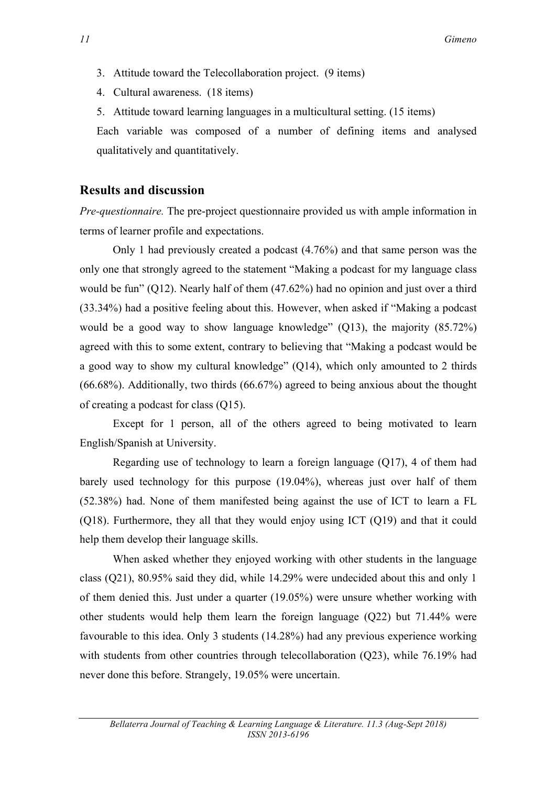- 3. Attitude toward the Telecollaboration project. (9 items)
- 4. Cultural awareness. (18 items)
- 5. Attitude toward learning languages in a multicultural setting. (15 items)

Each variable was composed of a number of defining items and analysed qualitatively and quantitatively.

## **Results and discussion**

*Pre-questionnaire.* The pre-project questionnaire provided us with ample information in terms of learner profile and expectations.

Only 1 had previously created a podcast (4.76%) and that same person was the only one that strongly agreed to the statement "Making a podcast for my language class would be fun" (Q12). Nearly half of them (47.62%) had no opinion and just over a third (33.34%) had a positive feeling about this. However, when asked if "Making a podcast would be a good way to show language knowledge" (Q13), the majority (85.72%) agreed with this to some extent, contrary to believing that "Making a podcast would be a good way to show my cultural knowledge" (Q14), which only amounted to 2 thirds (66.68%). Additionally, two thirds (66.67%) agreed to being anxious about the thought of creating a podcast for class (Q15).

Except for 1 person, all of the others agreed to being motivated to learn English/Spanish at University.

Regarding use of technology to learn a foreign language (Q17), 4 of them had barely used technology for this purpose (19.04%), whereas just over half of them (52.38%) had. None of them manifested being against the use of ICT to learn a FL (Q18). Furthermore, they all that they would enjoy using ICT (Q19) and that it could help them develop their language skills.

When asked whether they enjoyed working with other students in the language class (Q21), 80.95% said they did, while 14.29% were undecided about this and only 1 of them denied this. Just under a quarter (19.05%) were unsure whether working with other students would help them learn the foreign language (Q22) but 71.44% were favourable to this idea. Only 3 students (14.28%) had any previous experience working with students from other countries through telecollaboration (Q23), while 76.19% had never done this before. Strangely, 19.05% were uncertain.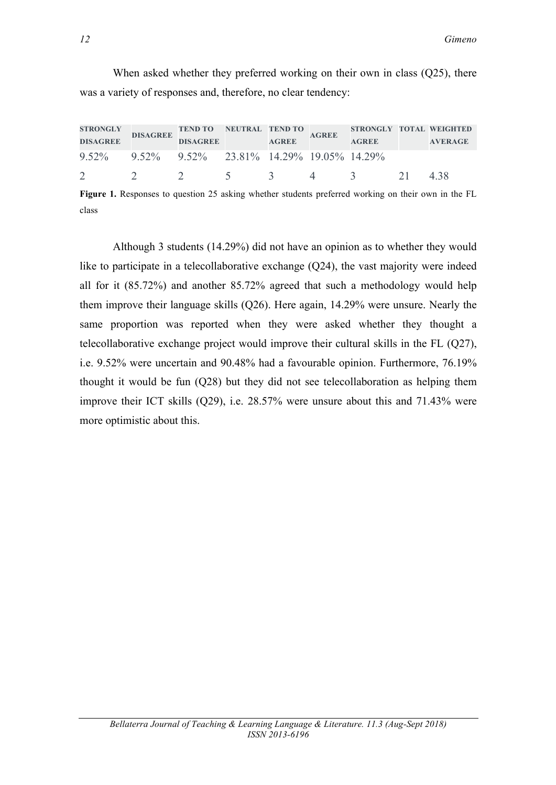When asked whether they preferred working on their own in class (Q25), there was a variety of responses and, therefore, no clear tendency:

| <b>STRONGLY</b><br><b>DISAGREE</b>            | <b>DISAGREE</b> | TEND TO NEUTRAL TEND TO<br><b>DISAGREE</b> | <b>AGREE</b> | <b>AGREE</b> | STRONGLY TOTAL WEIGHTED<br><b>AGREE</b> | <b>AVERAGE</b> |
|-----------------------------------------------|-----------------|--------------------------------------------|--------------|--------------|-----------------------------------------|----------------|
| 9.52% 9.52% 9.52% 23.81% 14.29% 19.05% 14.29% |                 |                                            |              |              |                                         |                |
|                                               |                 |                                            |              |              | $\sim$ 5                                | 438            |

**Figure 1.** Responses to question 25 asking whether students preferred working on their own in the FL class

Although 3 students (14.29%) did not have an opinion as to whether they would like to participate in a telecollaborative exchange (Q24), the vast majority were indeed all for it (85.72%) and another 85.72% agreed that such a methodology would help them improve their language skills (Q26). Here again, 14.29% were unsure. Nearly the same proportion was reported when they were asked whether they thought a telecollaborative exchange project would improve their cultural skills in the FL (Q27), i.e. 9.52% were uncertain and 90.48% had a favourable opinion. Furthermore, 76.19% thought it would be fun (Q28) but they did not see telecollaboration as helping them improve their ICT skills (Q29), i.e. 28.57% were unsure about this and 71.43% were more optimistic about this.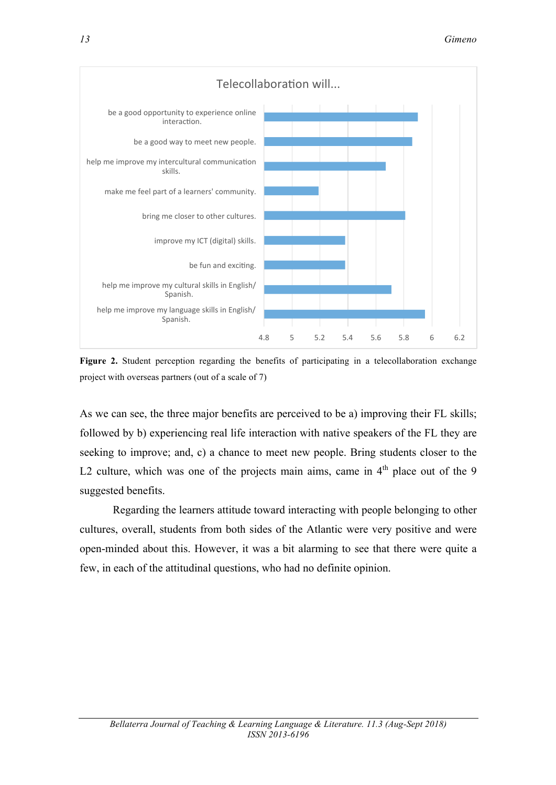

**Figure 2.** Student perception regarding the benefits of participating in a telecollaboration exchange project with overseas partners (out of a scale of 7)

As we can see, the three major benefits are perceived to be a) improving their FL skills; followed by b) experiencing real life interaction with native speakers of the FL they are seeking to improve; and, c) a chance to meet new people. Bring students closer to the L2 culture, which was one of the projects main aims, came in  $4<sup>th</sup>$  place out of the 9 suggested benefits.

Regarding the learners attitude toward interacting with people belonging to other cultures, overall, students from both sides of the Atlantic were very positive and were open-minded about this. However, it was a bit alarming to see that there were quite a few, in each of the attitudinal questions, who had no definite opinion.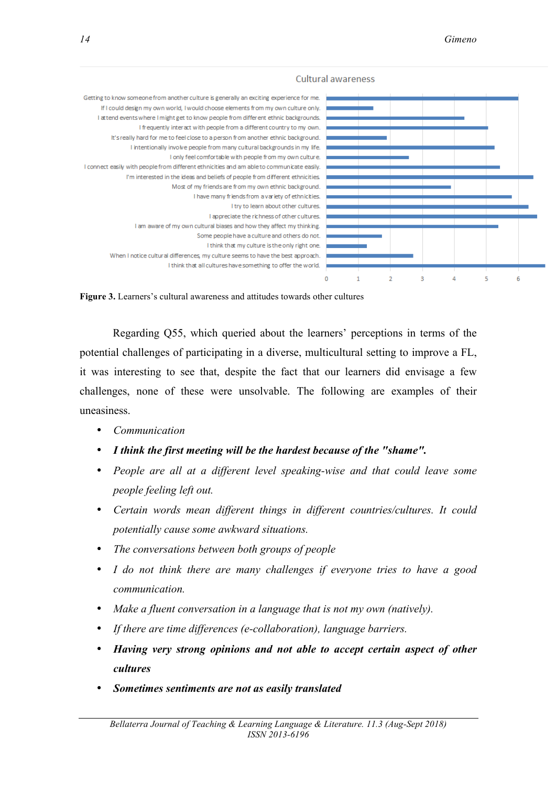#### Cultural awareness



**Figure 3.** Learners's cultural awareness and attitudes towards other cultures

Regarding Q55, which queried about the learners' perceptions in terms of the potential challenges of participating in a diverse, multicultural setting to improve a FL, it was interesting to see that, despite the fact that our learners did envisage a few challenges, none of these were unsolvable. The following are examples of their uneasiness.

- *Communication*
- *I think the first meeting will be the hardest because of the "shame".*
- *People are all at a different level speaking-wise and that could leave some people feeling left out.*
- *Certain words mean different things in different countries/cultures. It could potentially cause some awkward situations.*
- *The conversations between both groups of people*
- *I do not think there are many challenges if everyone tries to have a good communication.*
- *Make a fluent conversation in a language that is not my own (natively).*
- *If there are time differences (e-collaboration), language barriers.*
- *Having very strong opinions and not able to accept certain aspect of other cultures*
- *Sometimes sentiments are not as easily translated*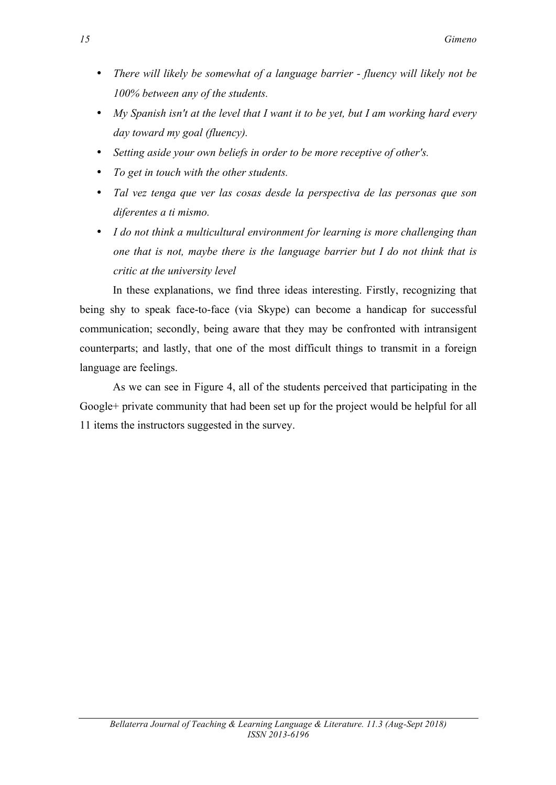- *There will likely be somewhat of a language barrier - fluency will likely not be 100% between any of the students.*
- *My Spanish isn't at the level that I want it to be yet, but I am working hard every day toward my goal (fluency).*
- *Setting aside your own beliefs in order to be more receptive of other's.*
- *To get in touch with the other students.*
- *Tal vez tenga que ver las cosas desde la perspectiva de las personas que son diferentes a ti mismo.*
- *I do not think a multicultural environment for learning is more challenging than one that is not, maybe there is the language barrier but I do not think that is critic at the university level*

In these explanations, we find three ideas interesting. Firstly, recognizing that being shy to speak face-to-face (via Skype) can become a handicap for successful communication; secondly, being aware that they may be confronted with intransigent counterparts; and lastly, that one of the most difficult things to transmit in a foreign language are feelings.

As we can see in Figure 4, all of the students perceived that participating in the Google+ private community that had been set up for the project would be helpful for all 11 items the instructors suggested in the survey.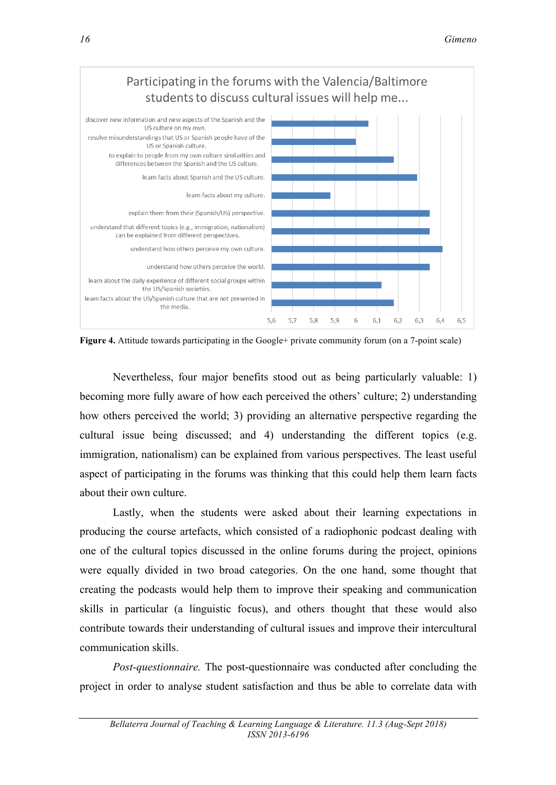

**Figure 4.** Attitude towards participating in the Google+ private community forum (on a 7-point scale)

Nevertheless, four major benefits stood out as being particularly valuable: 1) becoming more fully aware of how each perceived the others' culture; 2) understanding how others perceived the world; 3) providing an alternative perspective regarding the cultural issue being discussed; and 4) understanding the different topics (e.g. immigration, nationalism) can be explained from various perspectives. The least useful aspect of participating in the forums was thinking that this could help them learn facts about their own culture.

Lastly, when the students were asked about their learning expectations in producing the course artefacts, which consisted of a radiophonic podcast dealing with one of the cultural topics discussed in the online forums during the project, opinions were equally divided in two broad categories. On the one hand, some thought that creating the podcasts would help them to improve their speaking and communication skills in particular (a linguistic focus), and others thought that these would also contribute towards their understanding of cultural issues and improve their intercultural communication skills.

*Post-questionnaire.* The post-questionnaire was conducted after concluding the project in order to analyse student satisfaction and thus be able to correlate data with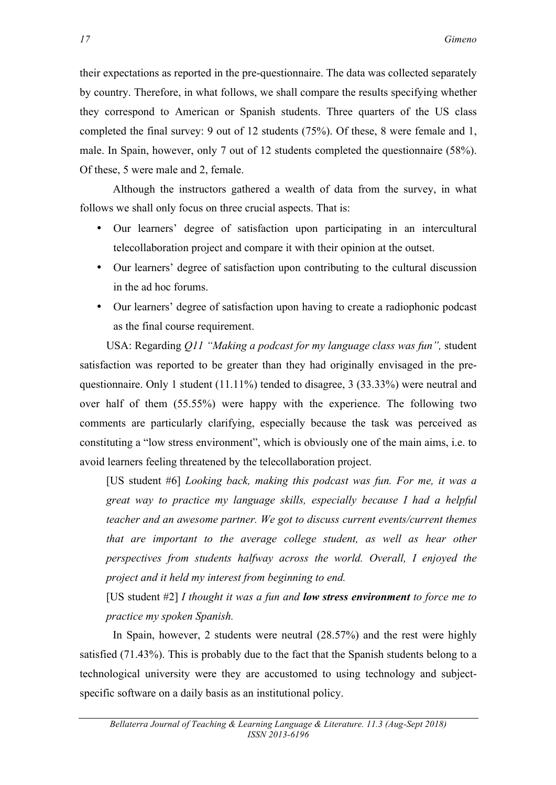their expectations as reported in the pre-questionnaire. The data was collected separately by country. Therefore, in what follows, we shall compare the results specifying whether they correspond to American or Spanish students. Three quarters of the US class completed the final survey: 9 out of 12 students (75%). Of these, 8 were female and 1, male. In Spain, however, only 7 out of 12 students completed the questionnaire (58%). Of these, 5 were male and 2, female.

Although the instructors gathered a wealth of data from the survey, in what follows we shall only focus on three crucial aspects. That is:

- Our learners' degree of satisfaction upon participating in an intercultural telecollaboration project and compare it with their opinion at the outset.
- Our learners' degree of satisfaction upon contributing to the cultural discussion in the ad hoc forums.
- Our learners' degree of satisfaction upon having to create a radiophonic podcast as the final course requirement.

USA: Regarding *Q11 "Making a podcast for my language class was fun",* student satisfaction was reported to be greater than they had originally envisaged in the prequestionnaire. Only 1 student  $(11.11\%)$  tended to disagree, 3 (33.33%) were neutral and over half of them (55.55%) were happy with the experience. The following two comments are particularly clarifying, especially because the task was perceived as constituting a "low stress environment", which is obviously one of the main aims, i.e. to avoid learners feeling threatened by the telecollaboration project.

[US student #6] *Looking back, making this podcast was fun. For me, it was a great way to practice my language skills, especially because I had a helpful teacher and an awesome partner. We got to discuss current events/current themes that are important to the average college student, as well as hear other perspectives from students halfway across the world. Overall, I enjoyed the project and it held my interest from beginning to end.*

[US student #2] *I thought it was a fun and low stress environment to force me to practice my spoken Spanish.*

In Spain, however, 2 students were neutral (28.57%) and the rest were highly satisfied (71.43%). This is probably due to the fact that the Spanish students belong to a technological university were they are accustomed to using technology and subjectspecific software on a daily basis as an institutional policy.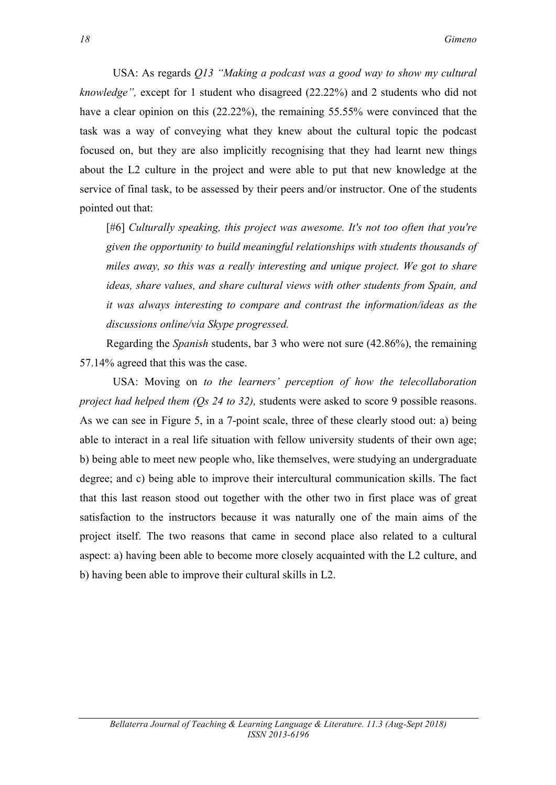USA: As regards *Q13 "Making a podcast was a good way to show my cultural knowledge",* except for 1 student who disagreed (22.22%) and 2 students who did not have a clear opinion on this (22.22%), the remaining 55.55% were convinced that the task was a way of conveying what they knew about the cultural topic the podcast focused on, but they are also implicitly recognising that they had learnt new things about the L2 culture in the project and were able to put that new knowledge at the service of final task, to be assessed by their peers and/or instructor. One of the students pointed out that:

[#6] *Culturally speaking, this project was awesome. It's not too often that you're given the opportunity to build meaningful relationships with students thousands of miles away, so this was a really interesting and unique project. We got to share ideas, share values, and share cultural views with other students from Spain, and it was always interesting to compare and contrast the information/ideas as the discussions online/via Skype progressed.*

Regarding the *Spanish* students, bar 3 who were not sure (42.86%), the remaining 57.14% agreed that this was the case.

USA: Moving on *to the learners' perception of how the telecollaboration project had helped them (Qs 24 to 32),* students were asked to score 9 possible reasons. As we can see in Figure 5, in a 7-point scale, three of these clearly stood out: a) being able to interact in a real life situation with fellow university students of their own age; b) being able to meet new people who, like themselves, were studying an undergraduate degree; and c) being able to improve their intercultural communication skills. The fact that this last reason stood out together with the other two in first place was of great satisfaction to the instructors because it was naturally one of the main aims of the project itself. The two reasons that came in second place also related to a cultural aspect: a) having been able to become more closely acquainted with the L2 culture, and b) having been able to improve their cultural skills in L2.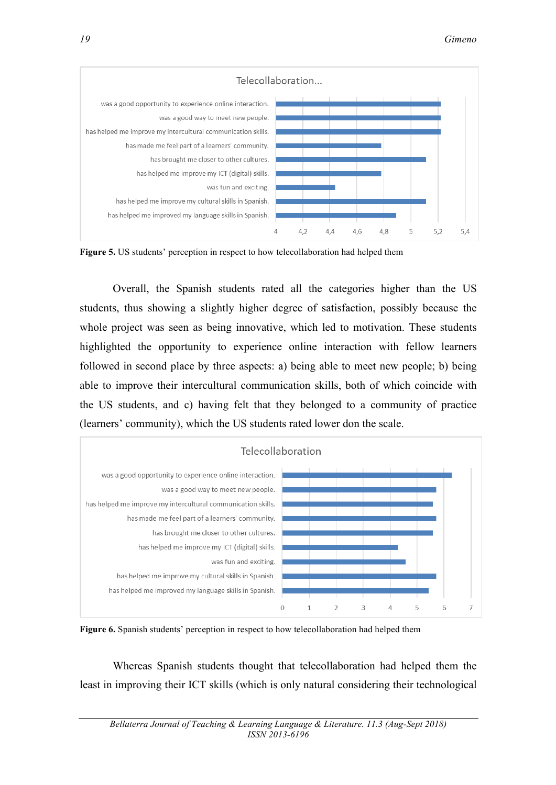

**Figure 5.** US students' perception in respect to how telecollaboration had helped them

Overall, the Spanish students rated all the categories higher than the US students, thus showing a slightly higher degree of satisfaction, possibly because the whole project was seen as being innovative, which led to motivation. These students highlighted the opportunity to experience online interaction with fellow learners followed in second place by three aspects: a) being able to meet new people; b) being able to improve their intercultural communication skills, both of which coincide with the US students, and c) having felt that they belonged to a community of practice (learners' community), which the US students rated lower don the scale.



**Figure 6.** Spanish students' perception in respect to how telecollaboration had helped them

Whereas Spanish students thought that telecollaboration had helped them the least in improving their ICT skills (which is only natural considering their technological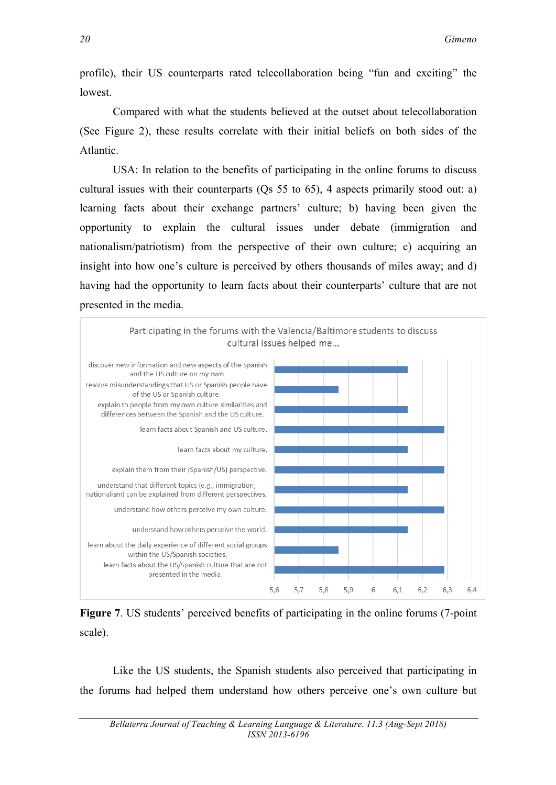profile), their US counterparts rated telecollaboration being "fun and exciting" the lowest.

Compared with what the students believed at the outset about telecollaboration (See Figure 2), these results correlate with their initial beliefs on both sides of the Atlantic.

USA: In relation to the benefits of participating in the online forums to discuss cultural issues with their counterparts (Qs 55 to 65), 4 aspects primarily stood out: a) learning facts about their exchange partners' culture; b) having been given the opportunity to explain the cultural issues under debate (immigration and nationalism/patriotism) from the perspective of their own culture; c) acquiring an insight into how one's culture is perceived by others thousands of miles away; and d) having had the opportunity to learn facts about their counterparts' culture that are not presented in the media.



**Figure 7**. US students' perceived benefits of participating in the online forums (7-point scale).

Like the US students, the Spanish students also perceived that participating in the forums had helped them understand how others perceive one's own culture but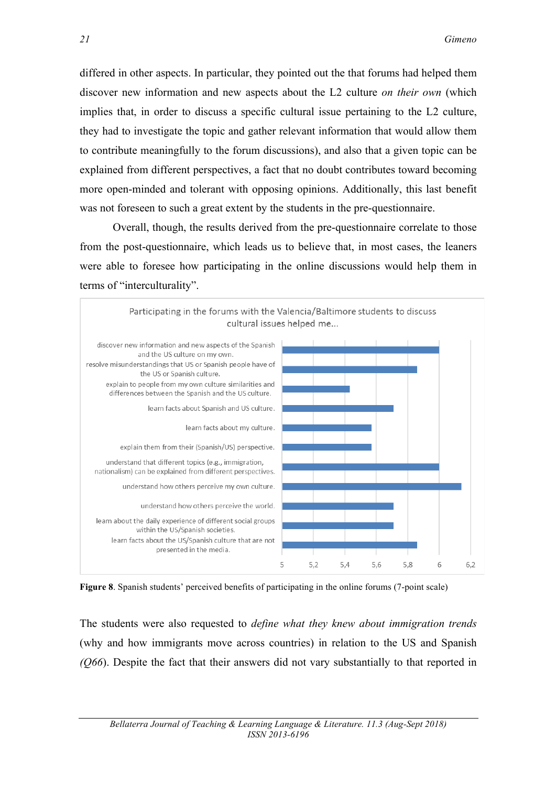differed in other aspects. In particular, they pointed out the that forums had helped them discover new information and new aspects about the L2 culture *on their own* (which implies that, in order to discuss a specific cultural issue pertaining to the L2 culture, they had to investigate the topic and gather relevant information that would allow them to contribute meaningfully to the forum discussions), and also that a given topic can be explained from different perspectives, a fact that no doubt contributes toward becoming more open-minded and tolerant with opposing opinions. Additionally, this last benefit was not foreseen to such a great extent by the students in the pre-questionnaire.

Overall, though, the results derived from the pre-questionnaire correlate to those from the post-questionnaire, which leads us to believe that, in most cases, the leaners were able to foresee how participating in the online discussions would help them in terms of "interculturality".



**Figure 8**. Spanish students' perceived benefits of participating in the online forums (7-point scale)

The students were also requested to *define what they knew about immigration trends* (why and how immigrants move across countries) in relation to the US and Spanish *(Q66*). Despite the fact that their answers did not vary substantially to that reported in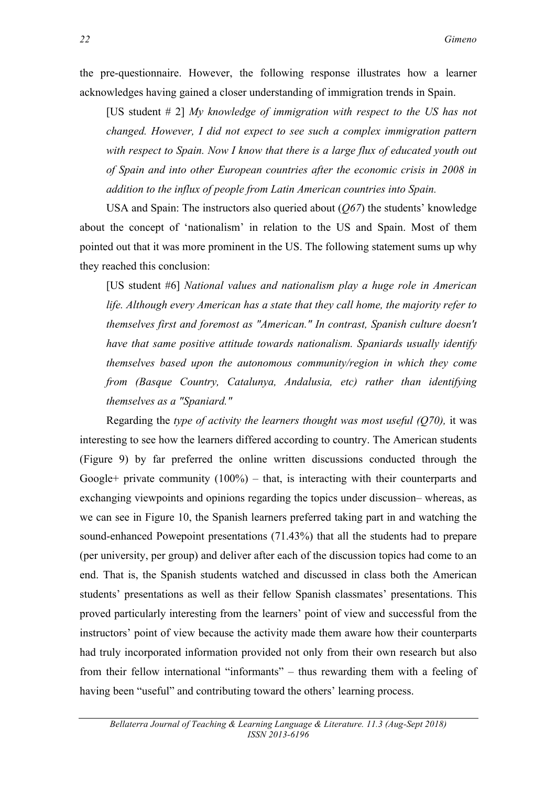the pre-questionnaire. However, the following response illustrates how a learner acknowledges having gained a closer understanding of immigration trends in Spain.

[US student # 2] *My knowledge of immigration with respect to the US has not changed. However, I did not expect to see such a complex immigration pattern with respect to Spain. Now I know that there is a large flux of educated youth out of Spain and into other European countries after the economic crisis in 2008 in addition to the influx of people from Latin American countries into Spain.*

USA and Spain: The instructors also queried about (*Q67*) the students' knowledge about the concept of 'nationalism' in relation to the US and Spain. Most of them pointed out that it was more prominent in the US. The following statement sums up why they reached this conclusion:

[US student #6] *National values and nationalism play a huge role in American life. Although every American has a state that they call home, the majority refer to themselves first and foremost as "American." In contrast, Spanish culture doesn't have that same positive attitude towards nationalism. Spaniards usually identify themselves based upon the autonomous community/region in which they come from (Basque Country, Catalunya, Andalusia, etc) rather than identifying themselves as a "Spaniard."*

Regarding the *type of activity the learners thought was most useful (Q70),* it was interesting to see how the learners differed according to country. The American students (Figure 9) by far preferred the online written discussions conducted through the Google+ private community  $(100\%)$  – that, is interacting with their counterparts and exchanging viewpoints and opinions regarding the topics under discussion– whereas, as we can see in Figure 10, the Spanish learners preferred taking part in and watching the sound-enhanced Powepoint presentations (71.43%) that all the students had to prepare (per university, per group) and deliver after each of the discussion topics had come to an end. That is, the Spanish students watched and discussed in class both the American students' presentations as well as their fellow Spanish classmates' presentations. This proved particularly interesting from the learners' point of view and successful from the instructors' point of view because the activity made them aware how their counterparts had truly incorporated information provided not only from their own research but also from their fellow international "informants" – thus rewarding them with a feeling of having been "useful" and contributing toward the others' learning process.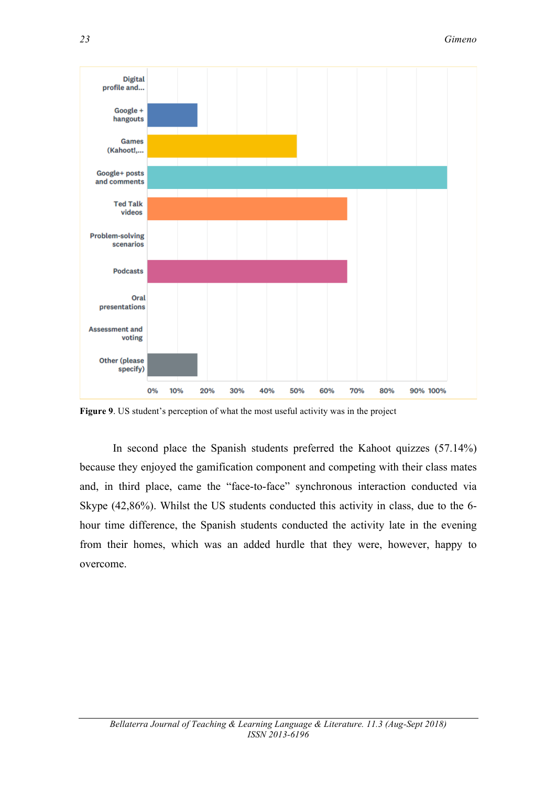

**Figure 9**. US student's perception of what the most useful activity was in the project

In second place the Spanish students preferred the Kahoot quizzes (57.14%) because they enjoyed the gamification component and competing with their class mates and, in third place, came the "face-to-face" synchronous interaction conducted via Skype (42,86%). Whilst the US students conducted this activity in class, due to the 6 hour time difference, the Spanish students conducted the activity late in the evening from their homes, which was an added hurdle that they were, however, happy to overcome.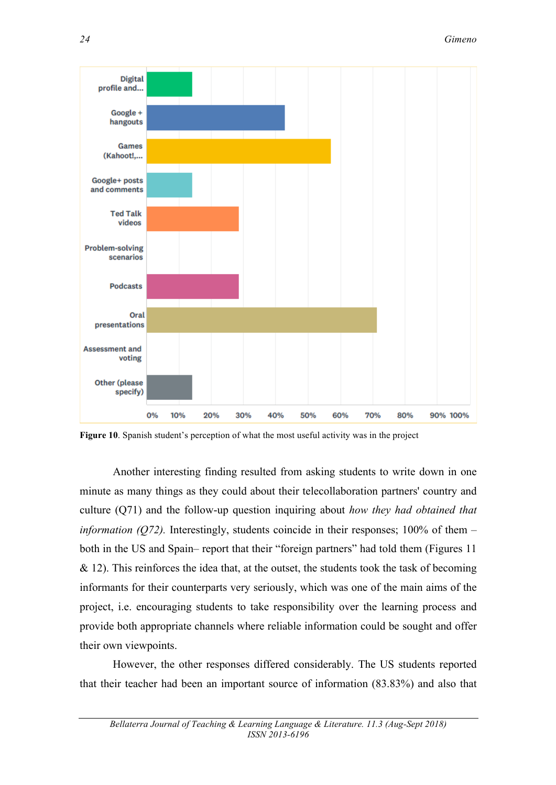

**Figure 10**. Spanish student's perception of what the most useful activity was in the project

Another interesting finding resulted from asking students to write down in one minute as many things as they could about their telecollaboration partners' country and culture (Q71) and the follow-up question inquiring about *how they had obtained that information (Q72)*. Interestingly, students coincide in their responses;  $100\%$  of them – both in the US and Spain– report that their "foreign partners" had told them (Figures 11  $& 12$ ). This reinforces the idea that, at the outset, the students took the task of becoming informants for their counterparts very seriously, which was one of the main aims of the project, i.e. encouraging students to take responsibility over the learning process and provide both appropriate channels where reliable information could be sought and offer their own viewpoints.

However, the other responses differed considerably. The US students reported that their teacher had been an important source of information (83.83%) and also that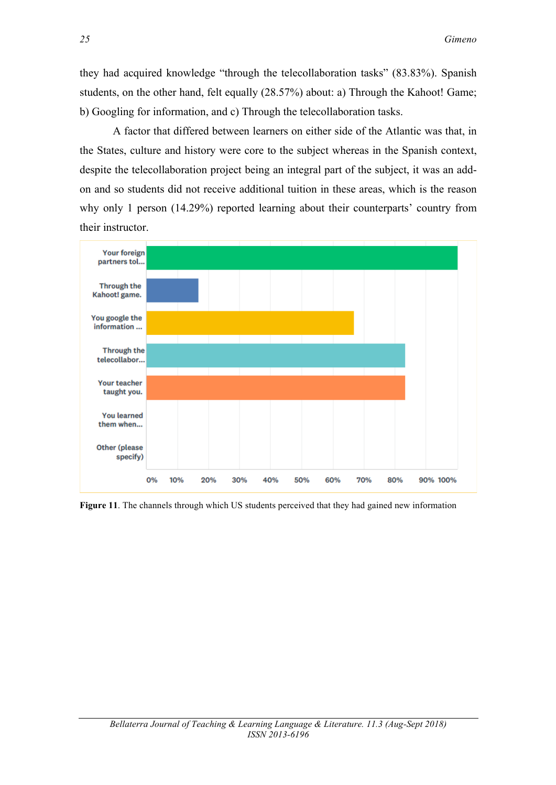they had acquired knowledge "through the telecollaboration tasks" (83.83%). Spanish students, on the other hand, felt equally (28.57%) about: a) Through the Kahoot! Game; b) Googling for information, and c) Through the telecollaboration tasks.

A factor that differed between learners on either side of the Atlantic was that, in the States, culture and history were core to the subject whereas in the Spanish context, despite the telecollaboration project being an integral part of the subject, it was an addon and so students did not receive additional tuition in these areas, which is the reason why only 1 person (14.29%) reported learning about their counterparts' country from their instructor.



**Figure 11**. The channels through which US students perceived that they had gained new information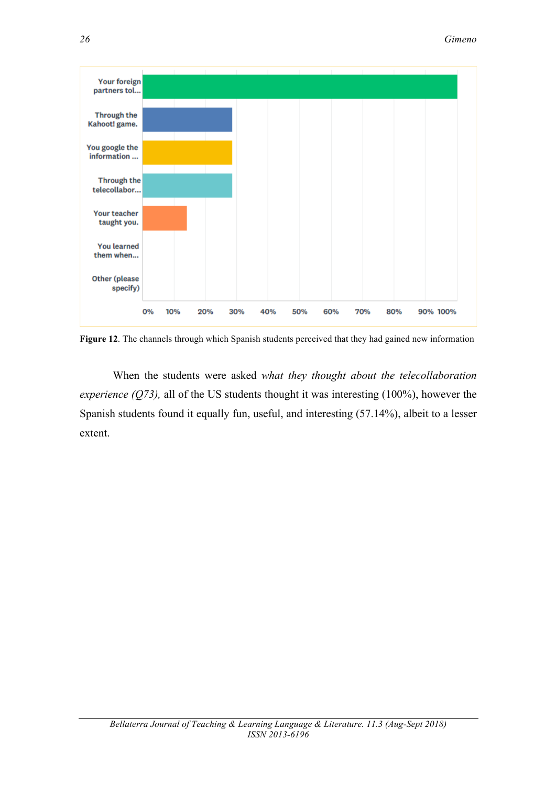

**Figure 12**. The channels through which Spanish students perceived that they had gained new information

When the students were asked *what they thought about the telecollaboration experience (Q73),* all of the US students thought it was interesting (100%), however the Spanish students found it equally fun, useful, and interesting (57.14%), albeit to a lesser extent.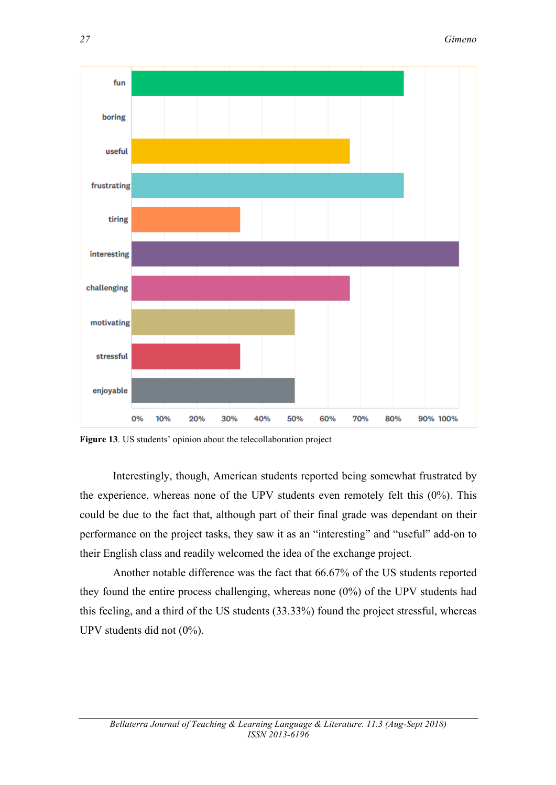

**Figure 13**. US students' opinion about the telecollaboration project

Interestingly, though, American students reported being somewhat frustrated by the experience, whereas none of the UPV students even remotely felt this (0%). This could be due to the fact that, although part of their final grade was dependant on their performance on the project tasks, they saw it as an "interesting" and "useful" add-on to their English class and readily welcomed the idea of the exchange project.

Another notable difference was the fact that 66.67% of the US students reported they found the entire process challenging, whereas none (0%) of the UPV students had this feeling, and a third of the US students (33.33%) found the project stressful, whereas UPV students did not (0%).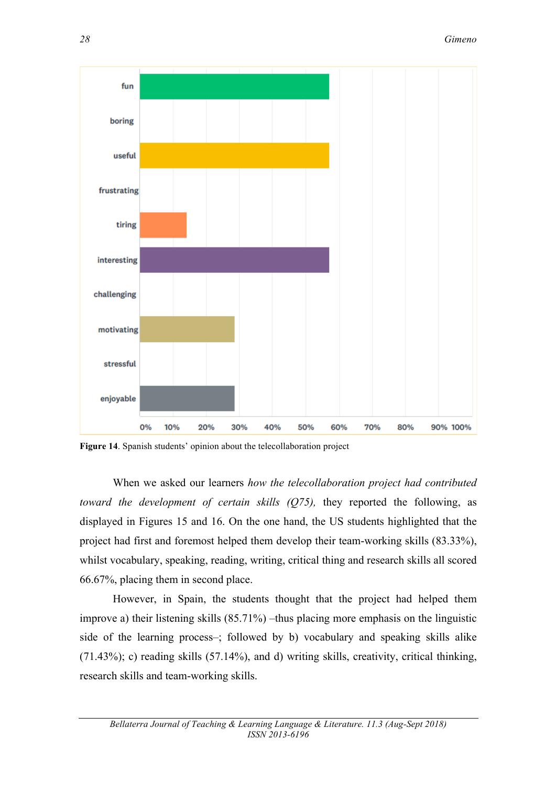

**Figure 14**. Spanish students' opinion about the telecollaboration project

When we asked our learners *how the telecollaboration project had contributed toward the development of certain skills (Q75),* they reported the following, as displayed in Figures 15 and 16. On the one hand, the US students highlighted that the project had first and foremost helped them develop their team-working skills (83.33%), whilst vocabulary, speaking, reading, writing, critical thing and research skills all scored 66.67%, placing them in second place.

However, in Spain, the students thought that the project had helped them improve a) their listening skills (85.71%) –thus placing more emphasis on the linguistic side of the learning process–; followed by b) vocabulary and speaking skills alike (71.43%); c) reading skills (57.14%), and d) writing skills, creativity, critical thinking, research skills and team-working skills.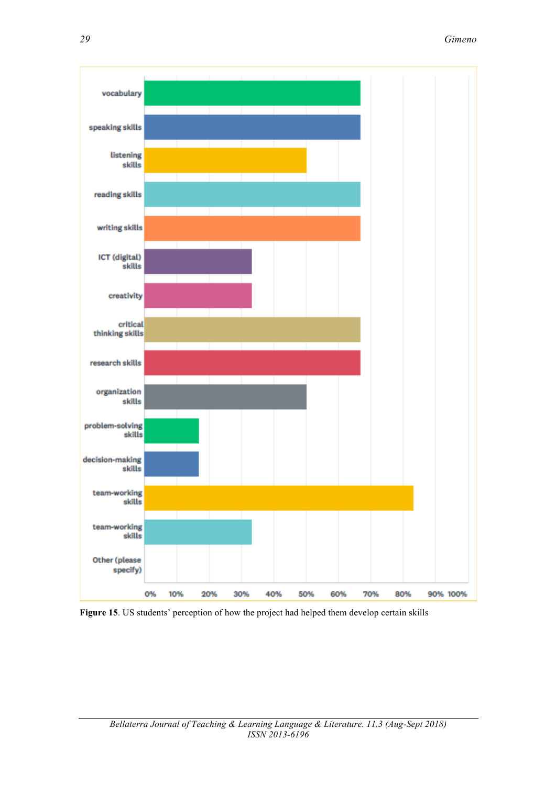

**Figure 15**. US students' perception of how the project had helped them develop certain skills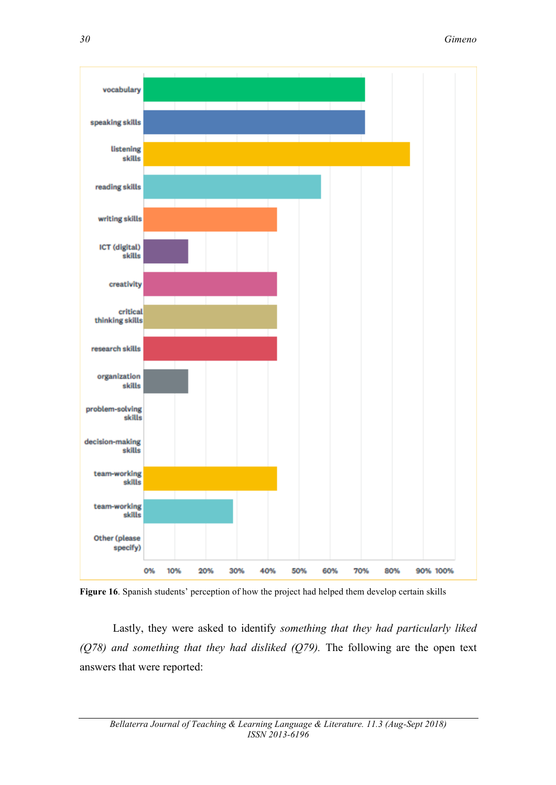

**Figure 16**. Spanish students' perception of how the project had helped them develop certain skills

Lastly, they were asked to identify *something that they had particularly liked (Q78) and something that they had disliked (Q79).* The following are the open text answers that were reported: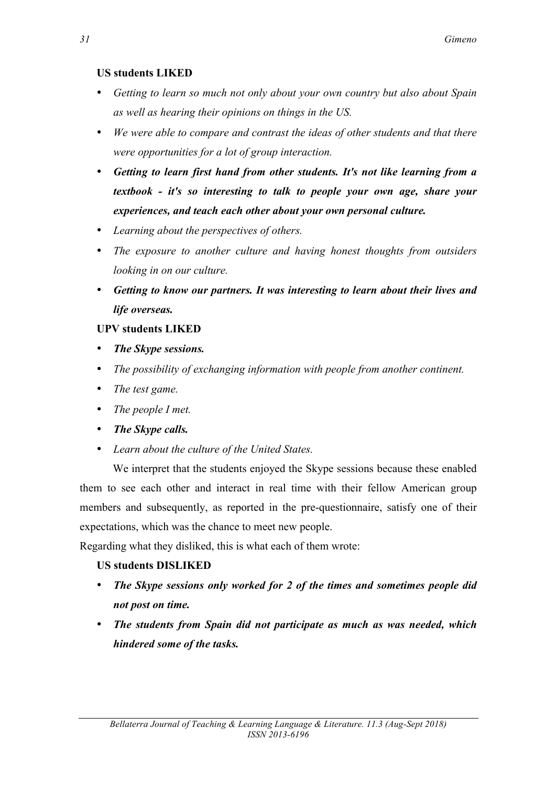## **US students LIKED**

- *Getting to learn so much not only about your own country but also about Spain as well as hearing their opinions on things in the US.*
- *We were able to compare and contrast the ideas of other students and that there were opportunities for a lot of group interaction.*
- *Getting to learn first hand from other students. It's not like learning from a textbook - it's so interesting to talk to people your own age, share your experiences, and teach each other about your own personal culture.*
- *Learning about the perspectives of others.*
- *The exposure to another culture and having honest thoughts from outsiders looking in on our culture.*
- *Getting to know our partners. It was interesting to learn about their lives and life overseas.*

## **UPV students LIKED**

- *The Skype sessions.*
- *The possibility of exchanging information with people from another continent.*
- *The test game.*
- *The people I met.*
- *The Skype calls.*
- *Learn about the culture of the United States.*

We interpret that the students enjoyed the Skype sessions because these enabled them to see each other and interact in real time with their fellow American group members and subsequently, as reported in the pre-questionnaire, satisfy one of their expectations, which was the chance to meet new people.

Regarding what they disliked, this is what each of them wrote:

## **US students DISLIKED**

- *The Skype sessions only worked for 2 of the times and sometimes people did not post on time.*
- *The students from Spain did not participate as much as was needed, which hindered some of the tasks.*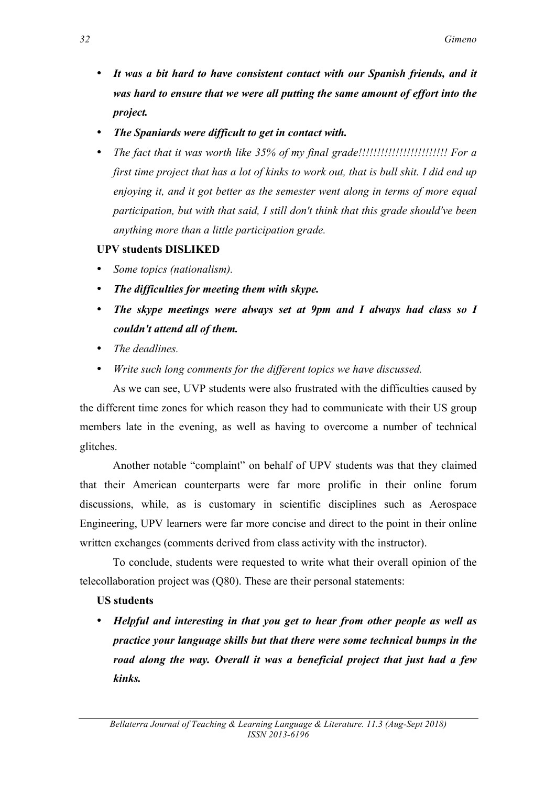- *It was a bit hard to have consistent contact with our Spanish friends, and it was hard to ensure that we were all putting the same amount of effort into the project.*
- *The Spaniards were difficult to get in contact with.*
- *The fact that it was worth like 35% of my final grade!!!!!!!!!!!!!!!!!!!!!!!! For a first time project that has a lot of kinks to work out, that is bull shit. I did end up enjoying it, and it got better as the semester went along in terms of more equal participation, but with that said, I still don't think that this grade should've been anything more than a little participation grade.*

## **UPV students DISLIKED**

- *Some topics (nationalism).*
- *The difficulties for meeting them with skype.*
- *The skype meetings were always set at 9pm and I always had class so I couldn't attend all of them.*
- *The deadlines.*
- *Write such long comments for the different topics we have discussed.*

As we can see, UVP students were also frustrated with the difficulties caused by the different time zones for which reason they had to communicate with their US group members late in the evening, as well as having to overcome a number of technical glitches.

Another notable "complaint" on behalf of UPV students was that they claimed that their American counterparts were far more prolific in their online forum discussions, while, as is customary in scientific disciplines such as Aerospace Engineering, UPV learners were far more concise and direct to the point in their online written exchanges (comments derived from class activity with the instructor).

To conclude, students were requested to write what their overall opinion of the telecollaboration project was (Q80). These are their personal statements:

### **US students**

• *Helpful and interesting in that you get to hear from other people as well as practice your language skills but that there were some technical bumps in the road along the way. Overall it was a beneficial project that just had a few kinks.*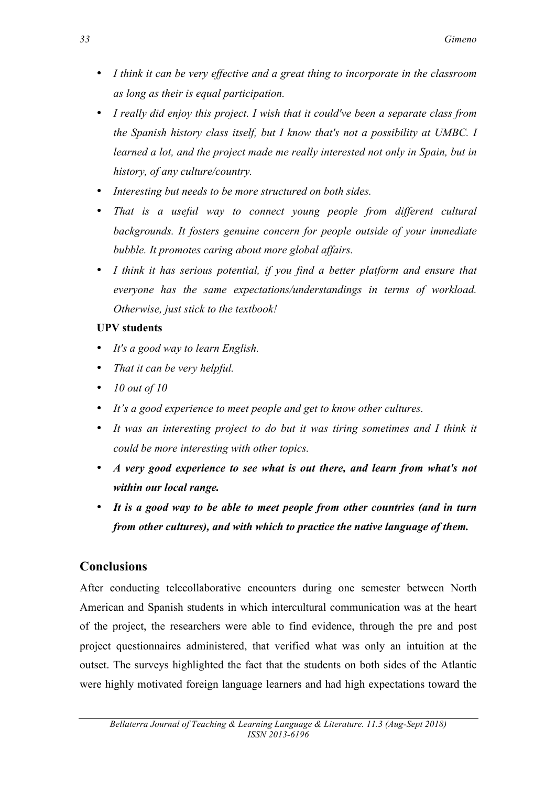- *I think it can be very effective and a great thing to incorporate in the classroom as long as their is equal participation.*
- *I really did enjoy this project. I wish that it could've been a separate class from the Spanish history class itself, but I know that's not a possibility at UMBC. I learned a lot, and the project made me really interested not only in Spain, but in history, of any culture/country.*
- *Interesting but needs to be more structured on both sides.*
- *That is a useful way to connect young people from different cultural backgrounds. It fosters genuine concern for people outside of your immediate bubble. It promotes caring about more global affairs.*
- *I think it has serious potential, if you find a better platform and ensure that everyone has the same expectations/understandings in terms of workload. Otherwise, just stick to the textbook!*

### **UPV students**

- *It's a good way to learn English.*
- *That it can be very helpful.*
- *10 out of 10*
- *It's a good experience to meet people and get to know other cultures.*
- It was an interesting project to do but it was tiring sometimes and I think it *could be more interesting with other topics.*
- *A very good experience to see what is out there, and learn from what's not within our local range.*
- *It is a good way to be able to meet people from other countries (and in turn from other cultures), and with which to practice the native language of them.*

## **Conclusions**

After conducting telecollaborative encounters during one semester between North American and Spanish students in which intercultural communication was at the heart of the project, the researchers were able to find evidence, through the pre and post project questionnaires administered, that verified what was only an intuition at the outset. The surveys highlighted the fact that the students on both sides of the Atlantic were highly motivated foreign language learners and had high expectations toward the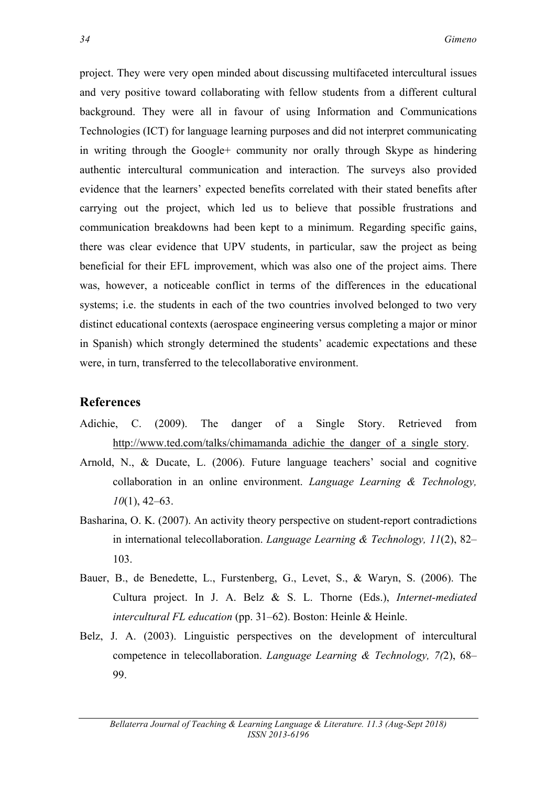project. They were very open minded about discussing multifaceted intercultural issues and very positive toward collaborating with fellow students from a different cultural background. They were all in favour of using Information and Communications Technologies (ICT) for language learning purposes and did not interpret communicating in writing through the Google+ community nor orally through Skype as hindering authentic intercultural communication and interaction. The surveys also provided evidence that the learners' expected benefits correlated with their stated benefits after carrying out the project, which led us to believe that possible frustrations and communication breakdowns had been kept to a minimum. Regarding specific gains, there was clear evidence that UPV students, in particular, saw the project as being beneficial for their EFL improvement, which was also one of the project aims. There was, however, a noticeable conflict in terms of the differences in the educational systems; i.e. the students in each of the two countries involved belonged to two very distinct educational contexts (aerospace engineering versus completing a major or minor in Spanish) which strongly determined the students' academic expectations and these were, in turn, transferred to the telecollaborative environment.

#### **References**

- Adichie, C. (2009). The danger of a Single Story. Retrieved from http://www.ted.com/talks/chimamanda\_adichie\_the\_danger\_of\_a\_single\_story.
- Arnold, N., & Ducate, L. (2006). Future language teachers' social and cognitive collaboration in an online environment. *Language Learning & Technology, 10*(1), 42–63.
- Basharina, O. K. (2007). An activity theory perspective on student-report contradictions in international telecollaboration. *Language Learning & Technology, 11*(2), 82– 103.
- Bauer, B., de Benedette, L., Furstenberg, G., Levet, S., & Waryn, S. (2006). The Cultura project. In J. A. Belz & S. L. Thorne (Eds.), *Internet-mediated intercultural FL education* (pp. 31–62). Boston: Heinle & Heinle.
- Belz, J. A. (2003). Linguistic perspectives on the development of intercultural competence in telecollaboration. *Language Learning & Technology, 7(*2), 68– 99.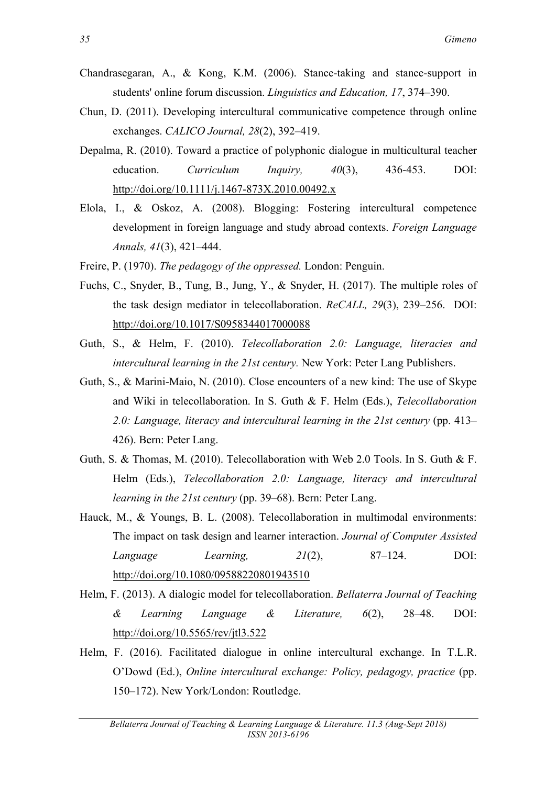- Chandrasegaran, A., & Kong, K.M. (2006). Stance-taking and stance-support in students' online forum discussion. *Linguistics and Education, 17*, 374–390.
- Chun, D. (2011). Developing intercultural communicative competence through online exchanges. *CALICO Journal, 28*(2), 392–419.
- Depalma, R. (2010). Toward a practice of polyphonic dialogue in multicultural teacher education. *Curriculum Inquiry, 40*(3), 436-453. DOI: http://doi.org/10.1111/j.1467-873X.2010.00492.x
- Elola, I., & Oskoz, A. (2008). Blogging: Fostering intercultural competence development in foreign language and study abroad contexts. *Foreign Language Annals, 41*(3), 421–444.
- Freire, P. (1970). *The pedagogy of the oppressed.* London: Penguin.
- Fuchs, C., Snyder, B., Tung, B., Jung, Y., & Snyder, H. (2017). The multiple roles of the task design mediator in telecollaboration. *ReCALL, 29*(3), 239–256. DOI: http://doi.org/10.1017/S0958344017000088
- Guth, S., & Helm, F. (2010). *Telecollaboration 2.0: Language, literacies and intercultural learning in the 21st century.* New York: Peter Lang Publishers.
- Guth, S., & Marini-Maio, N. (2010). Close encounters of a new kind: The use of Skype and Wiki in telecollaboration. In S. Guth & F. Helm (Eds.), *Telecollaboration 2.0: Language, literacy and intercultural learning in the 21st century* (pp. 413– 426). Bern: Peter Lang.
- Guth, S. & Thomas, M. (2010). Telecollaboration with Web 2.0 Tools. In S. Guth & F. Helm (Eds.), *Telecollaboration 2.0: Language, literacy and intercultural learning in the 21st century* (pp. 39–68). Bern: Peter Lang.
- Hauck, M., & Youngs, B. L. (2008). Telecollaboration in multimodal environments: The impact on task design and learner interaction. *Journal of Computer Assisted Language Learning, 21*(2), 87–124. DOI: http://doi.org/10.1080/09588220801943510
- Helm, F. (2013). A dialogic model for telecollaboration. *Bellaterra Journal of Teaching & Learning Language & Literature, 6*(2), 28–48. DOI: http://doi.org/10.5565/rev/jtl3.522
- Helm, F. (2016). Facilitated dialogue in online intercultural exchange. In T.L.R. O'Dowd (Ed.), *Online intercultural exchange: Policy, pedagogy, practice* (pp. 150–172). New York/London: Routledge.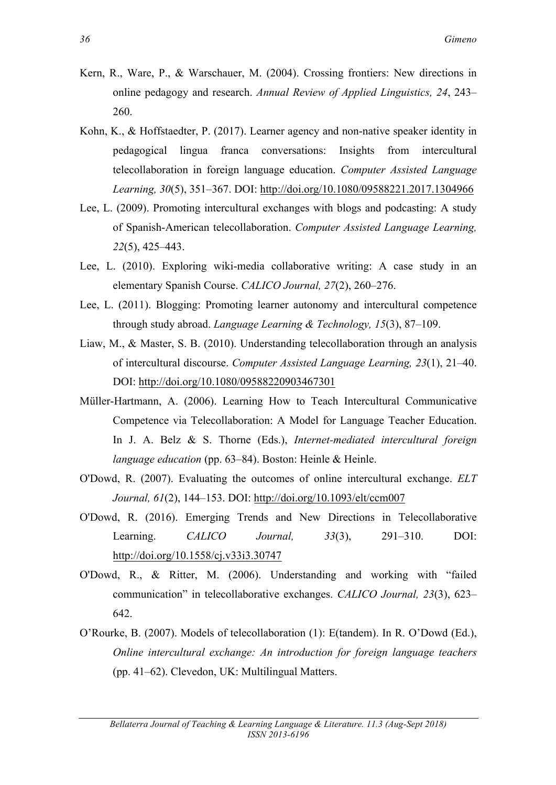- Kern, R., Ware, P., & Warschauer, M. (2004). Crossing frontiers: New directions in online pedagogy and research. *Annual Review of Applied Linguistics, 24*, 243– 260.
- Kohn, K., & Hoffstaedter, P. (2017). Learner agency and non-native speaker identity in pedagogical lingua franca conversations: Insights from intercultural telecollaboration in foreign language education. *Computer Assisted Language Learning, 30*(5), 351–367. DOI: http://doi.org/10.1080/09588221.2017.1304966
- Lee, L. (2009). Promoting intercultural exchanges with blogs and podcasting: A study of Spanish-American telecollaboration. *Computer Assisted Language Learning, 22*(5), 425–443.
- Lee, L. (2010). Exploring wiki-media collaborative writing: A case study in an elementary Spanish Course. *CALICO Journal, 27*(2), 260–276.
- Lee, L. (2011). Blogging: Promoting learner autonomy and intercultural competence through study abroad. *Language Learning & Technology, 15*(3), 87–109.
- Liaw, M., & Master, S. B. (2010). Understanding telecollaboration through an analysis of intercultural discourse. *Computer Assisted Language Learning, 23*(1), 21–40. DOI: http://doi.org/10.1080/09588220903467301
- Müller-Hartmann, A. (2006). Learning How to Teach Intercultural Communicative Competence via Telecollaboration: A Model for Language Teacher Education. In J. A. Belz & S. Thorne (Eds.), *Internet-mediated intercultural foreign language education* (pp. 63–84). Boston: Heinle & Heinle.
- O'Dowd, R. (2007). Evaluating the outcomes of online intercultural exchange. *ELT Journal, 61*(2), 144–153. DOI: http://doi.org/10.1093/elt/ccm007
- O'Dowd, R. (2016). Emerging Trends and New Directions in Telecollaborative Learning. *CALICO Journal, 33*(3), 291–310. DOI: http://doi.org/10.1558/cj.v33i3.30747
- O'Dowd, R., & Ritter, M. (2006). Understanding and working with "failed communication" in telecollaborative exchanges. *CALICO Journal, 23*(3), 623– 642.
- O'Rourke, B. (2007). Models of telecollaboration (1): E(tandem). In R. O'Dowd (Ed.), *Online intercultural exchange: An introduction for foreign language teachers* (pp. 41–62). Clevedon, UK: Multilingual Matters.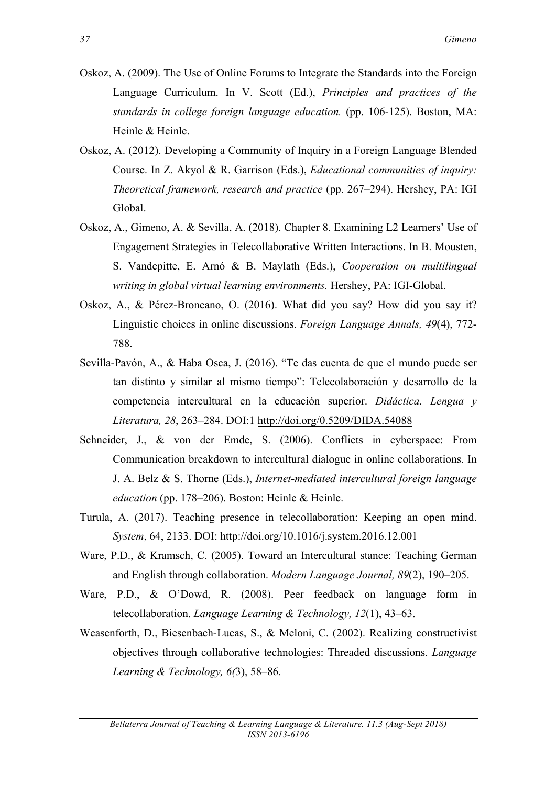- Oskoz, A. (2009). The Use of Online Forums to Integrate the Standards into the Foreign Language Curriculum. In V. Scott (Ed.), *Principles and practices of the standards in college foreign language education.* (pp. 106-125). Boston, MA: Heinle & Heinle.
- Oskoz, A. (2012). Developing a Community of Inquiry in a Foreign Language Blended Course. In Z. Akyol & R. Garrison (Eds.), *Educational communities of inquiry: Theoretical framework, research and practice* (pp. 267–294). Hershey, PA: IGI Global.
- Oskoz, A., Gimeno, A. & Sevilla, A. (2018). Chapter 8. Examining L2 Learners' Use of Engagement Strategies in Telecollaborative Written Interactions. In B. Mousten, S. Vandepitte, E. Arnó & B. Maylath (Eds.), *Cooperation on multilingual writing in global virtual learning environments.* Hershey, PA: IGI-Global.
- Oskoz, A., & Pérez-Broncano, O. (2016). What did you say? How did you say it? Linguistic choices in online discussions. *Foreign Language Annals, 49*(4), 772- 788.
- Sevilla-Pavón, A., & Haba Osca, J. (2016). "Te das cuenta de que el mundo puede ser tan distinto y similar al mismo tiempo": Telecolaboración y desarrollo de la competencia intercultural en la educación superior. *Didáctica. Lengua y Literatura, 28*, 263–284. DOI:1 http://doi.org/0.5209/DIDA.54088
- Schneider, J., & von der Emde, S. (2006). Conflicts in cyberspace: From Communication breakdown to intercultural dialogue in online collaborations. In J. A. Belz & S. Thorne (Eds.), *Internet-mediated intercultural foreign language education* (pp. 178–206). Boston: Heinle & Heinle.
- Turula, A. (2017). Teaching presence in telecollaboration: Keeping an open mind. *System*, 64, 2133. DOI: http://doi.org/10.1016/j.system.2016.12.001
- Ware, P.D., & Kramsch, C. (2005). Toward an Intercultural stance: Teaching German and English through collaboration. *Modern Language Journal, 89*(2), 190–205.
- Ware, P.D., & O'Dowd, R. (2008). Peer feedback on language form in telecollaboration. *Language Learning & Technology, 12*(1), 43–63.
- Weasenforth, D., Biesenbach-Lucas, S., & Meloni, C. (2002). Realizing constructivist objectives through collaborative technologies: Threaded discussions. *Language Learning & Technology, 6(*3), 58–86.